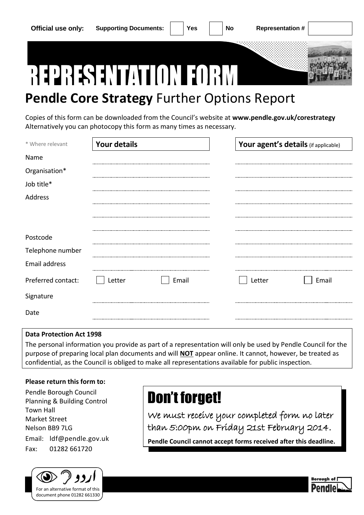

## **Pendle Core Strategy** Further Options Report

Copies of this form can be downloaded from the Council's website at **[www.pendle.gov.uk/corestrategy](http://www.pendle.gov.uk/corestrategy)** Alternatively you can photocopy this form as many times as necessary.

| * Where relevant   | <b>Your details</b> |       |        | Your agent's details (if applicable) |
|--------------------|---------------------|-------|--------|--------------------------------------|
| Name               |                     |       |        |                                      |
| Organisation*      |                     |       |        |                                      |
| Job title*         |                     |       |        |                                      |
| Address            |                     |       |        |                                      |
|                    |                     |       |        |                                      |
|                    |                     |       |        |                                      |
| Postcode           |                     |       |        |                                      |
| Telephone number   |                     |       |        |                                      |
| Email address      |                     |       |        |                                      |
| Preferred contact: | Letter              | Email | Letter | Email                                |
| Signature          |                     |       |        |                                      |
| Date               |                     |       |        |                                      |

## **Data Protection Act 1998**

The personal information you provide as part of a representation will only be used by Pendle Council for the purpose of preparing local plan documents and will **NOT** appear online. It cannot, however, be treated as confidential, as the Council is obliged to make all representations available for public inspection.

## **Please return this form to:**

Pendle Borough Council Planning & Building Control Town Hall Market Street Nelson BB9 7LG Email: ldf@pendle.gov.uk Fax: 01282 661720



## Don't forget!

We must receive your completed form no later than 5:00pm on Friday 21st February 2014.

**Pendle Council cannot accept forms received after this deadline.**

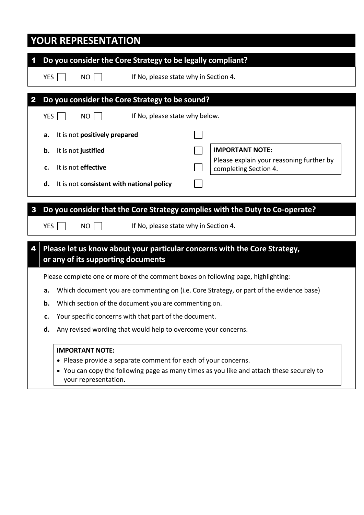|            | <b>YOUR REPRESENTATION</b>                                                                                       |  |  |  |  |  |  |  |
|------------|------------------------------------------------------------------------------------------------------------------|--|--|--|--|--|--|--|
|            | Do you consider the Core Strategy to be legally compliant?                                                       |  |  |  |  |  |  |  |
| YES        | If No, please state why in Section 4.<br><b>NO</b>                                                               |  |  |  |  |  |  |  |
|            |                                                                                                                  |  |  |  |  |  |  |  |
| 2          | Do you consider the Core Strategy to be sound?                                                                   |  |  |  |  |  |  |  |
| <b>YES</b> | If No, please state why below.<br><b>NO</b>                                                                      |  |  |  |  |  |  |  |
| а.         | It is not positively prepared                                                                                    |  |  |  |  |  |  |  |
| b.         | <b>IMPORTANT NOTE:</b><br>It is not justified                                                                    |  |  |  |  |  |  |  |
| c.         | Please explain your reasoning further by<br>It is not effective<br>completing Section 4.                         |  |  |  |  |  |  |  |
| d.         | It is not consistent with national policy                                                                        |  |  |  |  |  |  |  |
|            |                                                                                                                  |  |  |  |  |  |  |  |
| 3          | Do you consider that the Core Strategy complies with the Duty to Co-operate?                                     |  |  |  |  |  |  |  |
| YES        | If No, please state why in Section 4.<br><b>NO</b>                                                               |  |  |  |  |  |  |  |
| 4          | Please let us know about your particular concerns with the Core Strategy,                                        |  |  |  |  |  |  |  |
|            | or any of its supporting documents                                                                               |  |  |  |  |  |  |  |
|            | Please complete one or more of the comment boxes on following page, highlighting:                                |  |  |  |  |  |  |  |
| a.         | Which document you are commenting on (i.e. Core Strategy, or part of the evidence base)                          |  |  |  |  |  |  |  |
| b.         | Which section of the document you are commenting on.<br>Your specific concerns with that part of the document.   |  |  |  |  |  |  |  |
| c.         |                                                                                                                  |  |  |  |  |  |  |  |
| d.         | Any revised wording that would help to overcome your concerns.                                                   |  |  |  |  |  |  |  |
|            | <b>IMPORTANT NOTE:</b>                                                                                           |  |  |  |  |  |  |  |
|            | • Please provide a separate comment for each of your concerns.                                                   |  |  |  |  |  |  |  |
|            | • You can copy the following page as many times as you like and attach these securely to<br>your representation. |  |  |  |  |  |  |  |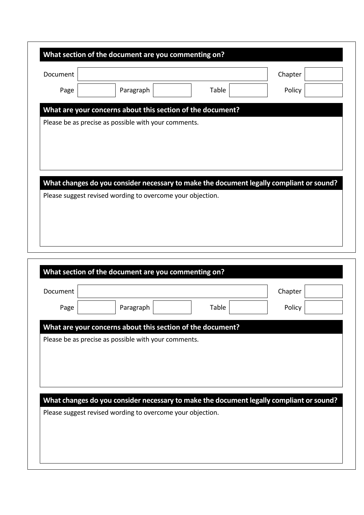|          | What section of the document are you commenting on?                                     |  |       |         |  |
|----------|-----------------------------------------------------------------------------------------|--|-------|---------|--|
| Document |                                                                                         |  |       | Chapter |  |
| Page     | Paragraph                                                                               |  | Table | Policy  |  |
|          | What are your concerns about this section of the document?                              |  |       |         |  |
|          | Please be as precise as possible with your comments.                                    |  |       |         |  |
|          |                                                                                         |  |       |         |  |
|          |                                                                                         |  |       |         |  |
|          |                                                                                         |  |       |         |  |
|          |                                                                                         |  |       |         |  |
|          | What changes do you consider necessary to make the document legally compliant or sound? |  |       |         |  |
|          | Please suggest revised wording to overcome your objection.                              |  |       |         |  |
|          |                                                                                         |  |       |         |  |
|          |                                                                                         |  |       |         |  |

| Document                                                                                                                                              |                                                      |       | Chapter |  |
|-------------------------------------------------------------------------------------------------------------------------------------------------------|------------------------------------------------------|-------|---------|--|
| Page                                                                                                                                                  | Paragraph                                            | Table | Policy  |  |
| What are your concerns about this section of the document?                                                                                            |                                                      |       |         |  |
|                                                                                                                                                       |                                                      |       |         |  |
|                                                                                                                                                       | Please be as precise as possible with your comments. |       |         |  |
|                                                                                                                                                       |                                                      |       |         |  |
|                                                                                                                                                       |                                                      |       |         |  |
|                                                                                                                                                       |                                                      |       |         |  |
|                                                                                                                                                       |                                                      |       |         |  |
|                                                                                                                                                       |                                                      |       |         |  |
| What changes do you consider necessary to make the document legally compliant or sound?<br>Please suggest revised wording to overcome your objection. |                                                      |       |         |  |
|                                                                                                                                                       |                                                      |       |         |  |